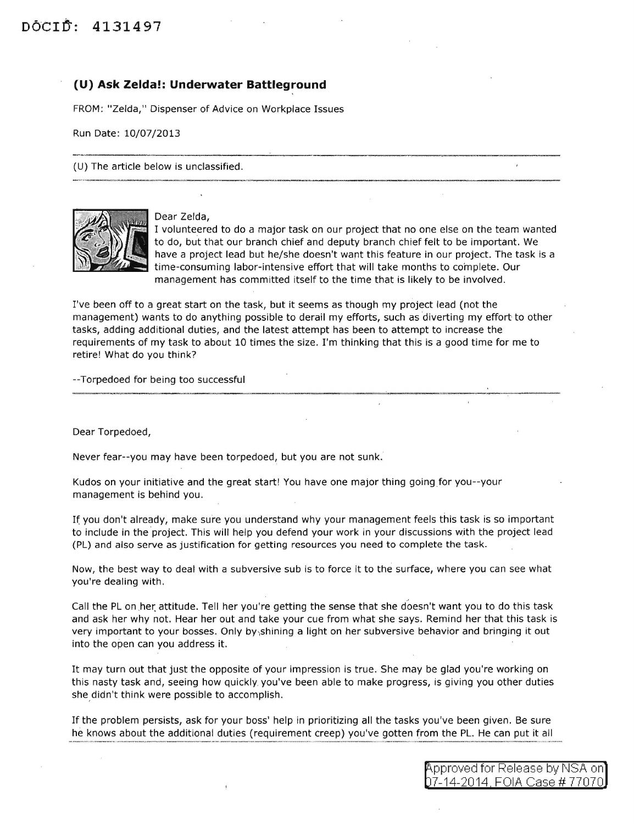## **(U) Ask Zelda!: Underwater Battleground**

FROM: "Zelda," Dispenser of Advice on Workplace Issues

Run Date: 10/07/2013

(U) The article below is unclassified.



Dear Zelda,

I volunteered to do a major task on our project that no one else on the team wanted to do, but that our branch chief and deputy branch chief felt to be important. We have a project lead but he/she doesn't want this feature in our project. The task is a  $time$ -consuming labor-intensive effort that will take months to complete. Our management has committed itself to the time that is likely to be involved.

I've been off to a great start on the task, but it seems as though my project lead (not the management) wants to do anything possible to derail my efforts, such as diverting my effort to other tasks, adding additional duties, and the latest attempt has been to attempt to increase the requirements of my task to about 10 times the size. I'm thinking that this is a good time for me to retire! What do you think?

--Torpedoed for being too successful

Dear Torpedoed,

Never fear--you may have been torpedoed, but you are not sunk.

Kudos on your initiative and the great start! You have one major thing going for you--your management is behind you.

If you don't already, make sure you understand why your management feels this task is so important to include in the project. This will help you defend your work in your discussions with the project lead (PL) and also serve as justification for getting resources you need to complete the task.

Now, the best way to deal with a subversive sub is to force it to the surface, where you can see what you're dealing with.

Call the PL on her attitude. Tell her you're getting the sense that she doesn't want you to do this task and ask her why not. Hear her out and take your cue from what she says. Remind her that this task is very important to your bosses. Only by,shining a light on her subversive behavior and bringing it out into the open can you address it.

It may turn out that just the opposite of your impression is true. She may be glad you're working on this nasty task and, seeing how quickly you've been able to make progress, is giving you other duties she didn't think were possible to accomplish.

If the problem persists, ask for your boss' help in prioritizing all the tasks you've been given. Be sure he knows about the additional duties (requirement creep) you've gotten from the PL. He can put it all